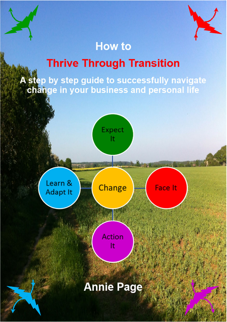### **How to**

# **Thrive Through Transition**

A step by step guide to successfully navigate change in your business and personal life

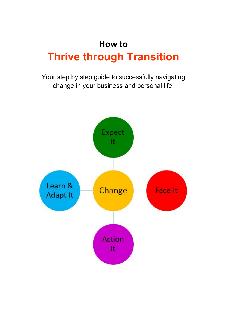Your step by step guide to successfully navigating change in your business and personal life.

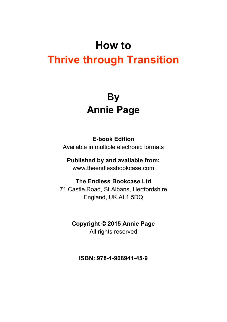## **By Annie Page**

#### **E-book Edition**

Available in multiple electronic formats

#### **Published by and available from:**

www.theendlessbookcase.com

#### **The Endless Bookcase Ltd**

71 Castle Road, St Albans, Hertfordshire England, UK,AL1 5DQ

#### **Copyright © 2015 Annie Page** All rights reserved

**ISBN: 978-1-908941-45-9**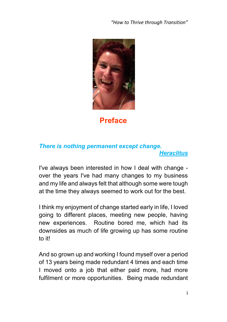

**Preface**

#### *There is nothing permanent except change. Heraclitus*

I've always been interested in how I deal with change over the years I've had many changes to my business and my life and always felt that although some were tough at the time they always seemed to work out for the best.

I think my enjoyment of change started early in life, I loved going to different places, meeting new people, having new experiences. Routine bored me, which had its downsides as much of life growing up has some routine to it!

And so grown up and working I found myself over a period of 13 years being made redundant 4 times and each time I moved onto a job that either paid more, had more fulfilment or more opportunities. Being made redundant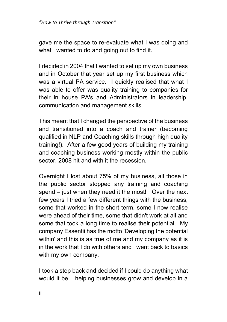gave me the space to re-evaluate what I was doing and what I wanted to do and going out to find it.

I decided in 2004 that I wanted to set up my own business and in October that year set up my first business which was a virtual PA service. I quickly realised that what I was able to offer was quality training to companies for their in house PA's and Administrators in leadership, communication and management skills.

This meant that I changed the perspective of the business and transitioned into a coach and trainer (becoming qualified in NLP and Coaching skills through high quality training!). After a few good years of building my training and coaching business working mostly within the public sector, 2008 hit and with it the recession.

Overnight I lost about 75% of my business, all those in the public sector stopped any training and coaching spend – just when they need it the most! Over the next few years I tried a few different things with the business, some that worked in the short term, some I now realise were ahead of their time, some that didn't work at all and some that took a long time to realise their potential. My company Essentii has the motto 'Developing the potential within' and this is as true of me and my company as it is in the work that I do with others and I went back to basics with my own company.

I took a step back and decided if I could do anything what would it be... helping businesses grow and develop in a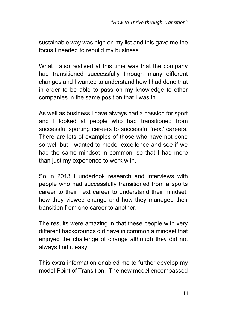sustainable way was high on my list and this gave me the focus I needed to rebuild my business.

What I also realised at this time was that the company had transitioned successfully through many different changes and I wanted to understand how I had done that in order to be able to pass on my knowledge to other companies in the same position that I was in.

As well as business I have always had a passion for sport and I looked at people who had transitioned from successful sporting careers to successful 'next' careers. There are lots of examples of those who have not done so well but I wanted to model excellence and see if we had the same mindset in common, so that I had more than just my experience to work with.

So in 2013 I undertook research and interviews with people who had successfully transitioned from a sports career to their next career to understand their mindset, how they viewed change and how they managed their transition from one career to another.

The results were amazing in that these people with very different backgrounds did have in common a mindset that enjoyed the challenge of change although they did not always find it easy.

This extra information enabled me to further develop my model Point of Transition. The new model encompassed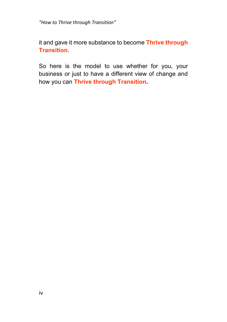it and gave it more substance to become **Thrive through Transition**.

So here is the model to use whether for you, your business or just to have a different view of change and how you can **Thrive through Transition.**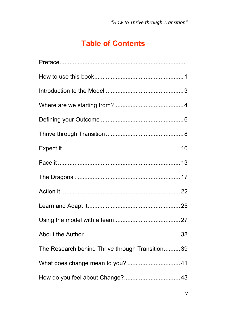### **Table of Contents**

| The Research behind Thrive through Transition 39 |  |
|--------------------------------------------------|--|
|                                                  |  |
|                                                  |  |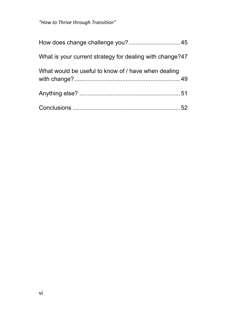| What is your current strategy for dealing with change?47 |
|----------------------------------------------------------|
| What would be useful to know of / have when dealing      |
|                                                          |
|                                                          |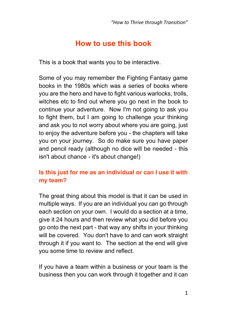### **How to use this book**

This is a book that wants you to be interactive.

Some of you may remember the Fighting Fantasy game books in the 1980s which was a series of books where you are the hero and have to fight various warlocks, trolls, witches etc to find out where you go next in the book to continue your adventure. Now I'm not going to ask you to fight them, but I am going to challenge your thinking and ask you to not worry about where you are going, just to enjoy the adventure before you - the chapters will take you on your journey. So do make sure you have paper and pencil ready (although no dice will be needed - this isn't about chance - it's about change!)

### **Is this just for me as an individual or can I use it with my team?**

The great thing about this model is that it can be used in multiple ways. If you are an individual you can go through each section on your own. I would do a section at a time, give it 24 hours and then review what you did before you go onto the next part - that way any shifts in your thinking will be covered. You don't have to and can work straight through it if you want to. The section at the end will give you some time to review and reflect.

If you have a team within a business or your team is the business then you can work through it together and it can